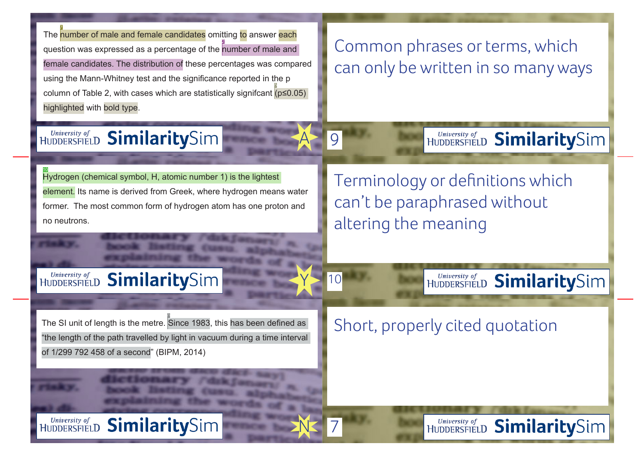The <mark>number of male and female candidates</mark> omi<u>t</u>ting <mark>to</mark> answer <mark>each</mark> question was expressed as a percentage of the number of male and female candidates. The distribution of these percentages was compared using the Mann-Whitney test and the significance reported in the p column of Table 2, with cases which are statistically significant  $(p \le 0.05)$ highlighted with bold type. 2 5

## Common phrases or terms, which can only be written in so many ways

### University of<br>HUDDERSFIELD SimilaritySim

9 A

7

N

Y

10

Hydrogen (chemical symbol, H, atomic number 1) is the lightest element. Its name is derived from Greek, where hydrogen means water former. The most common form of hydrogen atom has one proton and no neutrons. <u> 10</u>

Terminology or definitions which can't be paraphrased without altering the meaning

### University of<br>HUDDERSFIELD SimilaritySim

The SI unit of length is the metre. Since 1983, this has been defined as "the length of the path travelled by light in vacuum during a time interval of 1/299 792 458 of a second" (BIPM, 2014) 8

Short, properly cited quotation

University of<br>HUDDERSFIELD **SimilaritySim** 

University of<br>HUDDERSFIELD SimilaritySim

HUDDERSFIELD SimilaritySim

HUDDERSFIELD SimilaritySim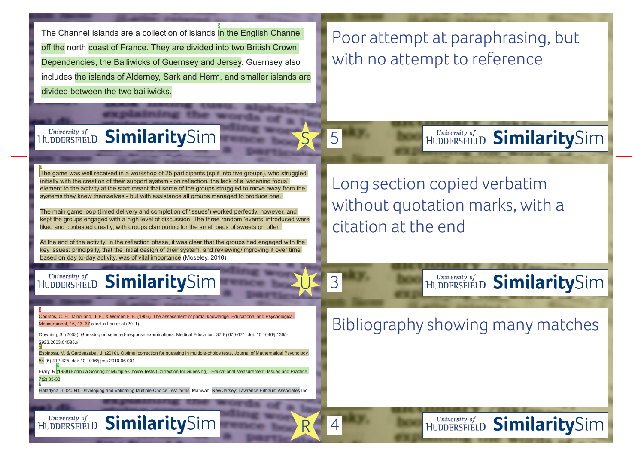The Channel Islands are a collection of islands in the English Channel off the north coast of France. They are divided into two British Crown Dependencies, the Bailiwicks of Guernsey and Jersey. Guernsey also includes the islands of Alderney, Sark and Herm, and smaller islands are divided between the two bailiwicks.

<u>ୁ</u>

# Poor attempt at paraphrasing, but with no attempt to reference

HUDDERSFIELD **Similarity**Sim

HUDDERSFIELD SimilaritySim

HUDDERSFIELD SimilaritySim

# HUDDERSFIELD SimilaritySim

5  $\overline{\mathsf{S}}$ 

4

R

U

3

The game was well received in a workshop of 25 participants (split into five groups), who struggled initially with the creation of their support system - on reflection, the lack of a 'widening focus' element to the activity at the start meant that some of the groups struggled to move away from the systems they knew themselves - but with assistance all groups managed to produce one. 4

The main game loop (timed delivery and completion of 'issues') worked perfectly, however, and kept the groups engaged with a high level of discussion. The three random 'events' introduced were liked and contested greatly, with groups clamouring for the small bags of sweets on offer.

At the end of the activity, in the reflection phase, it was clear that the groups had engaged with the key issues: principally, that the initial design of their system, and reviewing/improving it over time based on day to-day activity, was of vital importance (Moseley, 2010)

# HUDDERSFIELD SimilaritySim

Long section copied verbatim without quotation marks, with a citation at the end

Coombs, C. H., Miholland, J. E., & Womer, F. B. (1956). The assessment of partial knowledge. Educational and Psychological Measurement, 16, 13–37 cited in Lau et al (2011)

Downing, S. (2003). Guessing on selected-response examinations. Medical Education. 37(8) 670-671. doi: 10.1046/j.1365- 2923.2003.01585.x.

Espinosa, M. & Gardeazabal, J. (2010). Optimal correction for guessing in multiple-choice tests. Journal of Mathematical Psychology. 54 (5) 412-425. doi: 10.1016/j.jmp.2010.06.001. 9

Frary, R (1988) Formula Scoring of Multiple-Choice Tests (Correction for Guessing). Educational Measurement: Issues and Practice 7(2) 33-38

Haladyna, T. (2004). Developing and Validating Multiple-Choice Test Items. Mahwah, New Jersey: Lawrence Erlbaum Associates Inc.

## Bibliography showing many matches

HUDDERSFIELD **Similarity**Sim

4

7

3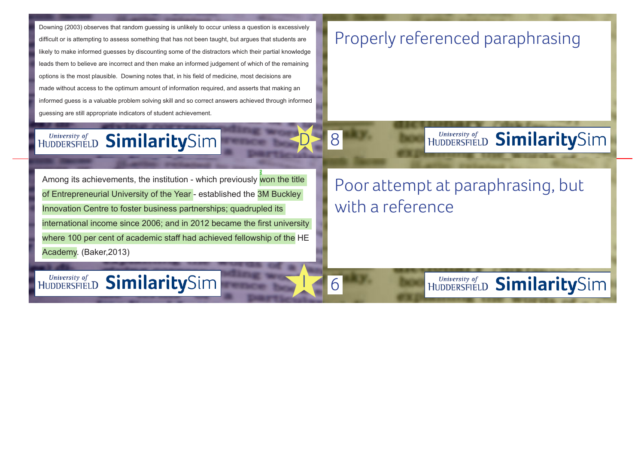Downing (2003) observes that random guessing is unlikely to occur unless a question is excessively difficult or is attempting to assess something that has not been taught, but argues that students are likely to make informed guesses by discounting some of the distractors which their partial knowledge leads them to believe are incorrect and then make an informed judgement of which of the remaining options is the most plausible. Downing notes that, in his field of medicine, most decisions are made without access to the optimum amount of information required, and asserts that making an informed guess is a valuable problem solving skill and so correct answers achieved through informed guessing are still appropriate indicators of student achievement.

# Properly referenced paraphrasing

# HUDDERSFIELD **Similarity**Sim

8 D

6

 $\overline{\mathbf{I}}$ 

Among its achievements, the institution - which previously <mark>won the title.</mark> of Entrepreneurial University of the Year - established the 3M Buckley Innovation Centre to foster business partnerships; quadrupled its international income since 2006; and in 2012 became the first university where 100 per cent of academic staff had achieved fellowship of the HE Academy. (Baker,2013)

# Poor attempt at paraphrasing, but with a reference

University of<br>HUDDERSFIELD SimilaritySim

HUDDERSFIELD SimilaritySim

HUDDERSFIELD **Similarity**Sim